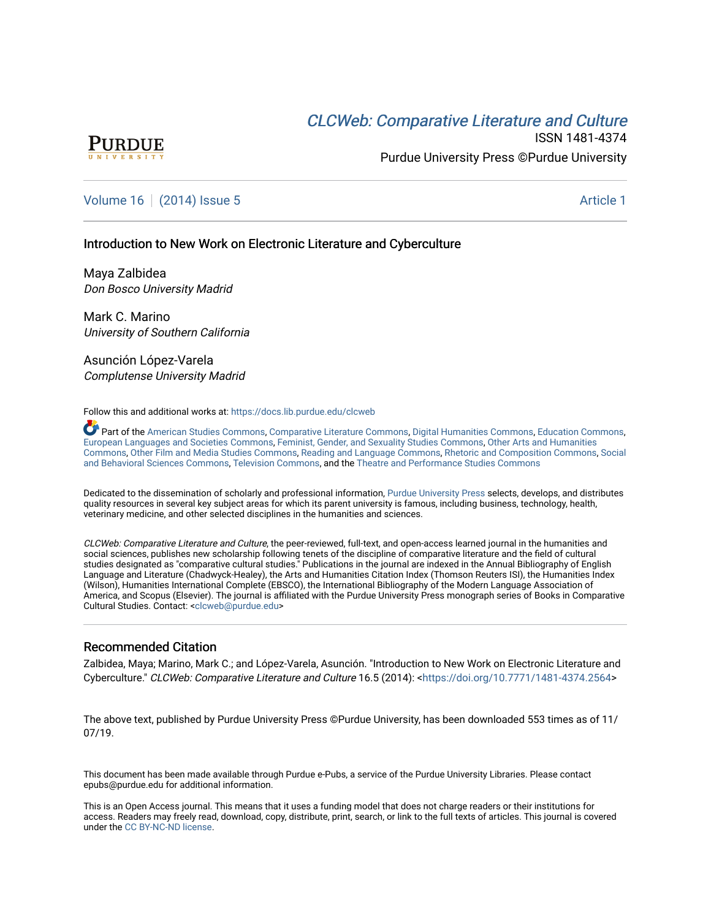# **CLCW[eb: Comparative Liter](https://docs.lib.purdue.edu/clcweb)ature and Culture**



ISSN 1481-4374 Purdue University Press ©Purdue University

# [Volume 16](https://docs.lib.purdue.edu/clcweb/vol16) | [\(2014\) Issue 5](https://docs.lib.purdue.edu/clcweb/vol16/iss5) Article 1

# Introduction to New Work on Electronic Literature and Cyberculture

Maya Zalbidea Don Bosco University Madrid

Mark C. Marino University of Southern California

Asunción López-Varela Complutense University Madrid

#### Follow this and additional works at: [https://docs.lib.purdue.edu/clcweb](https://docs.lib.purdue.edu/clcweb?utm_source=docs.lib.purdue.edu%2Fclcweb%2Fvol16%2Fiss5%2F1&utm_medium=PDF&utm_campaign=PDFCoverPages)

Part of the [American Studies Commons](http://network.bepress.com/hgg/discipline/439?utm_source=docs.lib.purdue.edu%2Fclcweb%2Fvol16%2Fiss5%2F1&utm_medium=PDF&utm_campaign=PDFCoverPages), [Comparative Literature Commons,](http://network.bepress.com/hgg/discipline/454?utm_source=docs.lib.purdue.edu%2Fclcweb%2Fvol16%2Fiss5%2F1&utm_medium=PDF&utm_campaign=PDFCoverPages) [Digital Humanities Commons,](http://network.bepress.com/hgg/discipline/1286?utm_source=docs.lib.purdue.edu%2Fclcweb%2Fvol16%2Fiss5%2F1&utm_medium=PDF&utm_campaign=PDFCoverPages) [Education Commons](http://network.bepress.com/hgg/discipline/784?utm_source=docs.lib.purdue.edu%2Fclcweb%2Fvol16%2Fiss5%2F1&utm_medium=PDF&utm_campaign=PDFCoverPages), [European Languages and Societies Commons](http://network.bepress.com/hgg/discipline/482?utm_source=docs.lib.purdue.edu%2Fclcweb%2Fvol16%2Fiss5%2F1&utm_medium=PDF&utm_campaign=PDFCoverPages), [Feminist, Gender, and Sexuality Studies Commons](http://network.bepress.com/hgg/discipline/559?utm_source=docs.lib.purdue.edu%2Fclcweb%2Fvol16%2Fiss5%2F1&utm_medium=PDF&utm_campaign=PDFCoverPages), [Other Arts and Humanities](http://network.bepress.com/hgg/discipline/577?utm_source=docs.lib.purdue.edu%2Fclcweb%2Fvol16%2Fiss5%2F1&utm_medium=PDF&utm_campaign=PDFCoverPages) [Commons,](http://network.bepress.com/hgg/discipline/577?utm_source=docs.lib.purdue.edu%2Fclcweb%2Fvol16%2Fiss5%2F1&utm_medium=PDF&utm_campaign=PDFCoverPages) [Other Film and Media Studies Commons,](http://network.bepress.com/hgg/discipline/565?utm_source=docs.lib.purdue.edu%2Fclcweb%2Fvol16%2Fiss5%2F1&utm_medium=PDF&utm_campaign=PDFCoverPages) [Reading and Language Commons](http://network.bepress.com/hgg/discipline/1037?utm_source=docs.lib.purdue.edu%2Fclcweb%2Fvol16%2Fiss5%2F1&utm_medium=PDF&utm_campaign=PDFCoverPages), [Rhetoric and Composition Commons](http://network.bepress.com/hgg/discipline/573?utm_source=docs.lib.purdue.edu%2Fclcweb%2Fvol16%2Fiss5%2F1&utm_medium=PDF&utm_campaign=PDFCoverPages), [Social](http://network.bepress.com/hgg/discipline/316?utm_source=docs.lib.purdue.edu%2Fclcweb%2Fvol16%2Fiss5%2F1&utm_medium=PDF&utm_campaign=PDFCoverPages) [and Behavioral Sciences Commons](http://network.bepress.com/hgg/discipline/316?utm_source=docs.lib.purdue.edu%2Fclcweb%2Fvol16%2Fiss5%2F1&utm_medium=PDF&utm_campaign=PDFCoverPages), [Television Commons](http://network.bepress.com/hgg/discipline/1143?utm_source=docs.lib.purdue.edu%2Fclcweb%2Fvol16%2Fiss5%2F1&utm_medium=PDF&utm_campaign=PDFCoverPages), and the [Theatre and Performance Studies Commons](http://network.bepress.com/hgg/discipline/552?utm_source=docs.lib.purdue.edu%2Fclcweb%2Fvol16%2Fiss5%2F1&utm_medium=PDF&utm_campaign=PDFCoverPages) 

Dedicated to the dissemination of scholarly and professional information, [Purdue University Press](http://www.thepress.purdue.edu/) selects, develops, and distributes quality resources in several key subject areas for which its parent university is famous, including business, technology, health, veterinary medicine, and other selected disciplines in the humanities and sciences.

CLCWeb: Comparative Literature and Culture, the peer-reviewed, full-text, and open-access learned journal in the humanities and social sciences, publishes new scholarship following tenets of the discipline of comparative literature and the field of cultural studies designated as "comparative cultural studies." Publications in the journal are indexed in the Annual Bibliography of English Language and Literature (Chadwyck-Healey), the Arts and Humanities Citation Index (Thomson Reuters ISI), the Humanities Index (Wilson), Humanities International Complete (EBSCO), the International Bibliography of the Modern Language Association of America, and Scopus (Elsevier). The journal is affiliated with the Purdue University Press monograph series of Books in Comparative Cultural Studies. Contact: [<clcweb@purdue.edu](mailto:clcweb@purdue.edu)>

# Recommended Citation

Zalbidea, Maya; Marino, Mark C.; and López-Varela, Asunción. "Introduction to New Work on Electronic Literature and Cyberculture." CLCWeb: Comparative Literature and Culture 16.5 (2014): <[https://doi.org/10.7771/1481-4374.2564>](https://doi.org/10.7771/1481-4374.2564)

The above text, published by Purdue University Press ©Purdue University, has been downloaded 553 times as of 11/ 07/19.

This document has been made available through Purdue e-Pubs, a service of the Purdue University Libraries. Please contact epubs@purdue.edu for additional information.

This is an Open Access journal. This means that it uses a funding model that does not charge readers or their institutions for access. Readers may freely read, download, copy, distribute, print, search, or link to the full texts of articles. This journal is covered under the [CC BY-NC-ND license.](https://creativecommons.org/licenses/by-nc-nd/4.0/)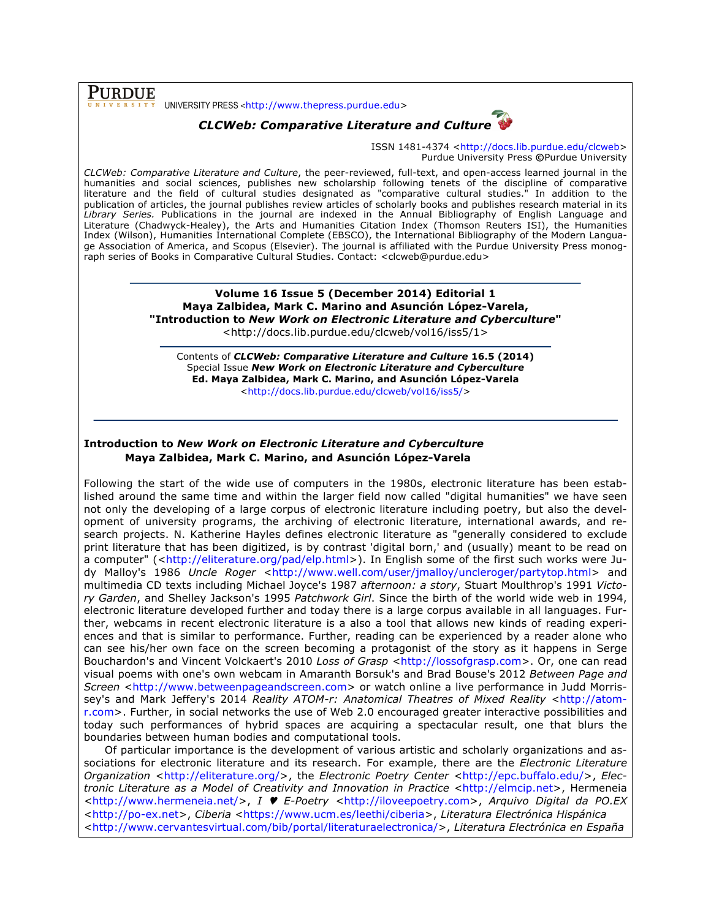PURDUE UNIVERSITY PRESS <http://www.thepress.purdue.edu>



ISSN 1481-4374 <http://docs.lib.purdue.edu/clcweb> Purdue University Press **©**Purdue University

*CLCWeb: Comparative Literature and Culture*, the peer-reviewed, full-text, and open-access learned journal in the humanities and social sciences, publishes new scholarship following tenets of the discipline of comparative literature and the field of cultural studies designated as "comparative cultural studies." In addition to the publication of articles, the journal publishes review articles of scholarly books and publishes research material in its *Library Series.* Publications in the journal are indexed in the Annual Bibliography of English Language and Literature (Chadwyck-Healey), the Arts and Humanities Citation Index (Thomson Reuters ISI), the Humanities Index (Wilson), Humanities International Complete (EBSCO), the International Bibliography of the Modern Language Association of America, and Scopus (Elsevier). The journal is affiliated with the Purdue University Press monograph series of Books in Comparative Cultural Studies. Contact: <clcweb@purdue.edu>

> **Volume 16 Issue 5 (December 2014) Editorial 1 Maya Zalbidea, Mark C. Marino and Asunción López-Varela, "Introduction to** *New Work on Electronic Literature and Cyberculture***"** <http://docs.lib.purdue.edu/clcweb/vol16/iss5/1>

Contents of *CLCWeb: Comparative Literature and Culture* **16.5 (2014)** Special Issue *New Work on Electronic Literature and Cyberculture* **Ed. Maya Zalbidea, Mark C. Marino, and Asunción López-Varela** <http://docs.lib.purdue.edu/clcweb/vol16/iss5/>

### **Introduction to** *New Work on Electronic Literature and Cyberculture* **Maya Zalbidea, Mark C. Marino, and Asunción López-Varela**

Following the start of the wide use of computers in the 1980s, electronic literature has been established around the same time and within the larger field now called "digital humanities" we have seen not only the developing of a large corpus of electronic literature including poetry, but also the development of university programs, the archiving of electronic literature, international awards, and research projects. N. Katherine Hayles defines electronic literature as "generally considered to exclude print literature that has been digitized, is by contrast 'digital born,' and (usually) meant to be read on a computer" (<http://eliterature.org/pad/elp.html>). In English some of the first such works were Judy Malloy's 1986 *Uncle Roger* <http://www.well.com/user/jmalloy/uncleroger/partytop.html> and multimedia CD texts including Michael Joyce's 1987 *afternoon: a story*, Stuart Moulthrop's 1991 *Victory Garden*, and Shelley Jackson's 1995 *Patchwork Girl*. Since the birth of the world wide web in 1994, electronic literature developed further and today there is a large corpus available in all languages. Further, webcams in recent electronic literature is a also a tool that allows new kinds of reading experiences and that is similar to performance. Further, reading can be experienced by a reader alone who can see his/her own face on the screen becoming a protagonist of the story as it happens in Serge Bouchardon's and Vincent Volckaert's 2010 *Loss of Grasp* <http://lossofgrasp.com>. Or, one can read visual poems with one's own webcam in Amaranth Borsuk's and Brad Bouse's 2012 *Between Page and Screen* <http://www.betweenpageandscreen.com> or watch online a live performance in Judd Morrissey's and Mark Jeffery's 2014 *Reality ATOM-r: Anatomical Theatres of Mixed Reality* <http://atomr.com>. Further, in social networks the use of Web 2.0 encouraged greater interactive possibilities and today such performances of hybrid spaces are acquiring a spectacular result, one that blurs the boundaries between human bodies and computational tools.

Of particular importance is the development of various artistic and scholarly organizations and associations for electronic literature and its research. For example, there are the *Electronic Literature Organization* <http://eliterature.org/>, the *Electronic Poetry Center* <http://epc.buffalo.edu/>, *Electronic Literature as a Model of Creativity and Innovation in Practice* <http://elmcip.net>, Hermeneia <http://www.hermeneia.net/>, *I* ♥ *E-Poetry* <http://iloveepoetry.com>, *Arquivo Digital da PO.EX* <http://po-ex.net>, *Ciberia* <https://www.ucm.es/leethi/ciberia>, *Literatura Electrónica Hispánica* <http://www.cervantesvirtual.com/bib/portal/literaturaelectronica/>, *Literatura Electrónica en España*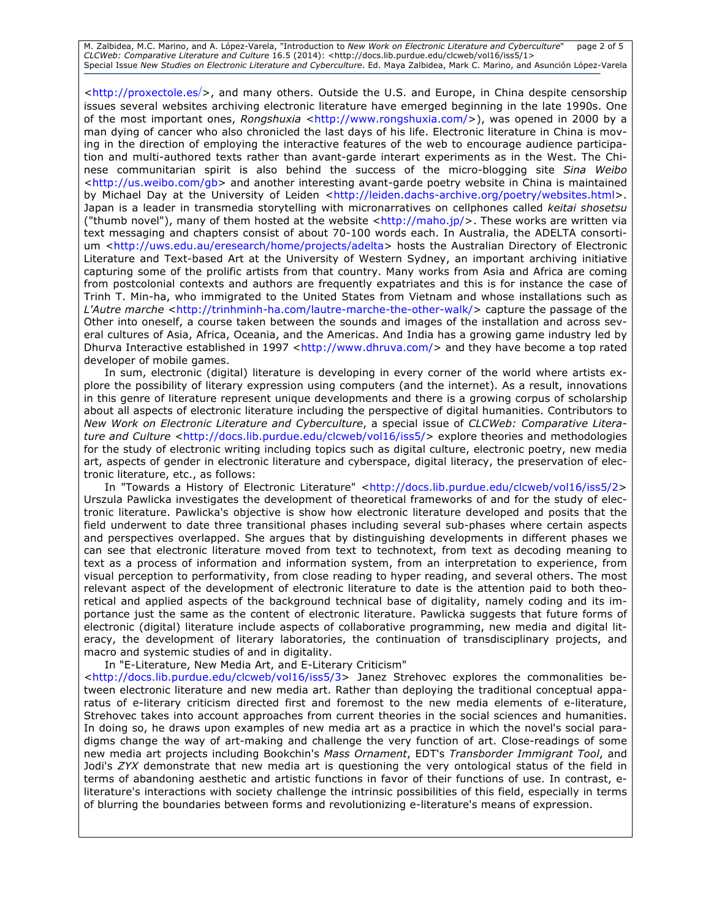M. Zalbidea, M.C. Marino, and A. López-Varela, "Introduction to *New Work on Electronic Literature and Cyberculture*" page 2 of 5 *CLCWeb: Comparative Literature and Culture* 16.5 (2014): <http://docs.lib.purdue.edu/clcweb/vol16/iss5/1> Special Issue *New Studies on Electronic Literature and Cyberculture*. Ed. Maya Zalbidea, Mark C. Marino, and Asunción López-Varela

<http://proxectole.es/>, and many others. Outside the U.S. and Europe, in China despite censorship issues several websites archiving electronic literature have emerged beginning in the late 1990s. One of the most important ones, *Rongshuxia* <http://www.rongshuxia.com/>), was opened in 2000 by a man dying of cancer who also chronicled the last days of his life. Electronic literature in China is moving in the direction of employing the interactive features of the web to encourage audience participation and multi-authored texts rather than avant-garde interart experiments as in the West. The Chinese communitarian spirit is also behind the success of the micro-blogging site *Sina Weibo* <http://us.weibo.com/gb> and another interesting avant-garde poetry website in China is maintained by Michael Day at the University of Leiden <http://leiden.dachs-archive.org/poetry/websites.html>. Japan is a leader in transmedia storytelling with micronarratives on cellphones called *keitai shosetsu*  ("thumb novel"), many of them hosted at the website  $\langle$ http://maho.jp/ $>$ . These works are written via text messaging and chapters consist of about 70-100 words each. In Australia, the ADELTA consortium <http://uws.edu.au/eresearch/home/projects/adelta> hosts the Australian Directory of Electronic Literature and Text-based Art at the University of Western Sydney, an important archiving initiative capturing some of the prolific artists from that country. Many works from Asia and Africa are coming from postcolonial contexts and authors are frequently expatriates and this is for instance the case of Trinh T. Min-ha, who immigrated to the United States from Vietnam and whose installations such as *L'Autre marche* <http://trinhminh-ha.com/lautre-marche-the-other-walk/> capture the passage of the Other into oneself, a course taken between the sounds and images of the installation and across several cultures of Asia, Africa, Oceania, and the Americas. And India has a growing game industry led by Dhurva Interactive established in 1997 <http://www.dhruva.com/> and they have become a top rated developer of mobile games.

In sum, electronic (digital) literature is developing in every corner of the world where artists explore the possibility of literary expression using computers (and the internet). As a result, innovations in this genre of literature represent unique developments and there is a growing corpus of scholarship about all aspects of electronic literature including the perspective of digital humanities. Contributors to *New Work on Electronic Literature and Cyberculture*, a special issue of *CLCWeb: Comparative Literature and Culture <http://docs.lib.purdue.edu/clcweb/vol16/iss5/> explore theories and methodologies* for the study of electronic writing including topics such as digital culture, electronic poetry, new media art, aspects of gender in electronic literature and cyberspace, digital literacy, the preservation of electronic literature, etc., as follows:

In "Towards a History of Electronic Literature" <http://docs.lib.purdue.edu/clcweb/vol16/iss5/2> Urszula Pawlicka investigates the development of theoretical frameworks of and for the study of electronic literature. Pawlicka's objective is show how electronic literature developed and posits that the field underwent to date three transitional phases including several sub-phases where certain aspects and perspectives overlapped. She argues that by distinguishing developments in different phases we can see that electronic literature moved from text to technotext, from text as decoding meaning to text as a process of information and information system, from an interpretation to experience, from visual perception to performativity, from close reading to hyper reading, and several others. The most relevant aspect of the development of electronic literature to date is the attention paid to both theoretical and applied aspects of the background technical base of digitality, namely coding and its importance just the same as the content of electronic literature. Pawlicka suggests that future forms of electronic (digital) literature include aspects of collaborative programming, new media and digital literacy, the development of literary laboratories, the continuation of transdisciplinary projects, and macro and systemic studies of and in digitality.

In "E-Literature, New Media Art, and E-Literary Criticism"

<http://docs.lib.purdue.edu/clcweb/vol16/iss5/3> Janez Strehovec explores the commonalities between electronic literature and new media art. Rather than deploying the traditional conceptual apparatus of e-literary criticism directed first and foremost to the new media elements of e-literature, Strehovec takes into account approaches from current theories in the social sciences and humanities. In doing so, he draws upon examples of new media art as a practice in which the novel's social paradigms change the way of art-making and challenge the very function of art. Close-readings of some new media art projects including Bookchin's *Mass Ornament*, EDT's *Transborder Immigrant Tool*, and Jodi's *ZYX* demonstrate that new media art is questioning the very ontological status of the field in terms of abandoning aesthetic and artistic functions in favor of their functions of use. In contrast, eliterature's interactions with society challenge the intrinsic possibilities of this field, especially in terms of blurring the boundaries between forms and revolutionizing e-literature's means of expression.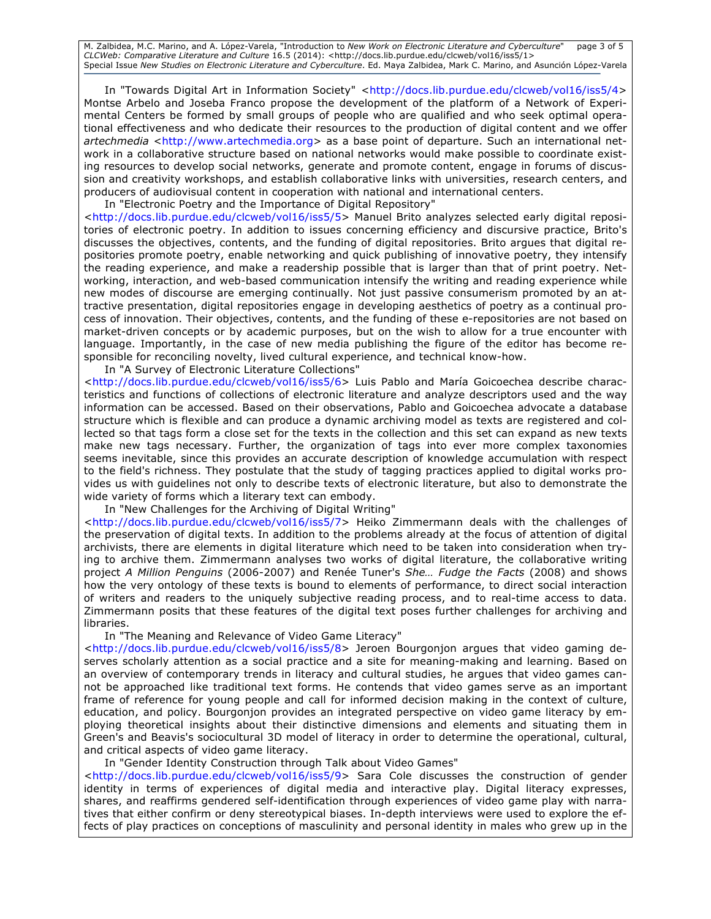M. Zalbidea, M.C. Marino, and A. López-Varela, "Introduction to *New Work on Electronic Literature and Cyberculture*" page 3 of 5 *CLCWeb: Comparative Literature and Culture* 16.5 (2014): <http://docs.lib.purdue.edu/clcweb/vol16/iss5/1> Special Issue *New Studies on Electronic Literature and Cyberculture*. Ed. Maya Zalbidea, Mark C. Marino, and Asunción López-Varela

In "Towards Digital Art in Information Society" <http://docs.lib.purdue.edu/clcweb/vol16/iss5/4> Montse Arbelo and Joseba Franco propose the development of the platform of a Network of Experimental Centers be formed by small groups of people who are qualified and who seek optimal operational effectiveness and who dedicate their resources to the production of digital content and we offer *artechmedia* <http://www.artechmedia.org> as a base point of departure. Such an international network in a collaborative structure based on national networks would make possible to coordinate existing resources to develop social networks, generate and promote content, engage in forums of discussion and creativity workshops, and establish collaborative links with universities, research centers, and producers of audiovisual content in cooperation with national and international centers.

In "Electronic Poetry and the Importance of Digital Repository" <http://docs.lib.purdue.edu/clcweb/vol16/iss5/5> Manuel Brito analyzes selected early digital repositories of electronic poetry. In addition to issues concerning efficiency and discursive practice, Brito's discusses the objectives, contents, and the funding of digital repositories. Brito argues that digital repositories promote poetry, enable networking and quick publishing of innovative poetry, they intensify the reading experience, and make a readership possible that is larger than that of print poetry. Networking, interaction, and web-based communication intensify the writing and reading experience while new modes of discourse are emerging continually. Not just passive consumerism promoted by an attractive presentation, digital repositories engage in developing aesthetics of poetry as a continual process of innovation. Their objectives, contents, and the funding of these e-repositories are not based on market-driven concepts or by academic purposes, but on the wish to allow for a true encounter with language. Importantly, in the case of new media publishing the figure of the editor has become responsible for reconciling novelty, lived cultural experience, and technical know-how.

In "A Survey of Electronic Literature Collections"

<http://docs.lib.purdue.edu/clcweb/vol16/iss5/6> Luis Pablo and María Goicoechea describe characteristics and functions of collections of electronic literature and analyze descriptors used and the way information can be accessed. Based on their observations, Pablo and Goicoechea advocate a database structure which is flexible and can produce a dynamic archiving model as texts are registered and collected so that tags form a close set for the texts in the collection and this set can expand as new texts make new tags necessary. Further, the organization of tags into ever more complex taxonomies seems inevitable, since this provides an accurate description of knowledge accumulation with respect to the field's richness. They postulate that the study of tagging practices applied to digital works provides us with guidelines not only to describe texts of electronic literature, but also to demonstrate the wide variety of forms which a literary text can embody.

In "New Challenges for the Archiving of Digital Writing"

<http://docs.lib.purdue.edu/clcweb/vol16/iss5/7> Heiko Zimmermann deals with the challenges of the preservation of digital texts. In addition to the problems already at the focus of attention of digital archivists, there are elements in digital literature which need to be taken into consideration when trying to archive them. Zimmermann analyses two works of digital literature, the collaborative writing project *A Million Penguins* (2006-2007) and Renée Tuner's *She… Fudge the Facts* (2008) and shows how the very ontology of these texts is bound to elements of performance, to direct social interaction of writers and readers to the uniquely subjective reading process, and to real-time access to data. Zimmermann posits that these features of the digital text poses further challenges for archiving and libraries.

In "The Meaning and Relevance of Video Game Literacy"

<http://docs.lib.purdue.edu/clcweb/vol16/iss5/8> Jeroen Bourgonjon argues that video gaming deserves scholarly attention as a social practice and a site for meaning-making and learning. Based on an overview of contemporary trends in literacy and cultural studies, he argues that video games cannot be approached like traditional text forms. He contends that video games serve as an important frame of reference for young people and call for informed decision making in the context of culture, education, and policy. Bourgonjon provides an integrated perspective on video game literacy by employing theoretical insights about their distinctive dimensions and elements and situating them in Green's and Beavis's sociocultural 3D model of literacy in order to determine the operational, cultural, and critical aspects of video game literacy.

In "Gender Identity Construction through Talk about Video Games"

<http://docs.lib.purdue.edu/clcweb/vol16/iss5/9> Sara Cole discusses the construction of gender identity in terms of experiences of digital media and interactive play. Digital literacy expresses, shares, and reaffirms gendered self-identification through experiences of video game play with narratives that either confirm or deny stereotypical biases. In-depth interviews were used to explore the effects of play practices on conceptions of masculinity and personal identity in males who grew up in the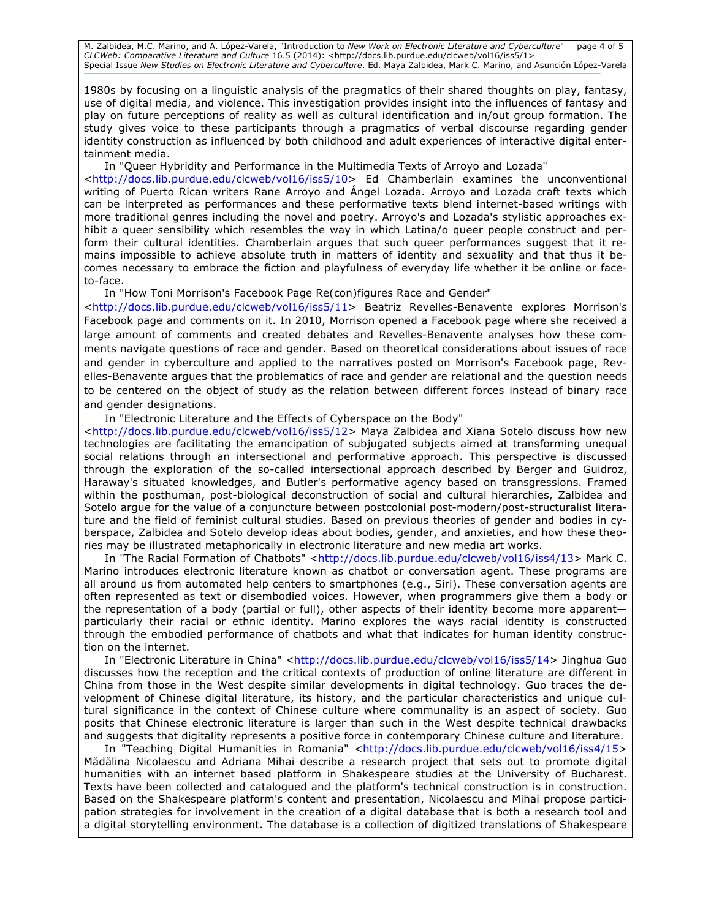M. Zalbidea, M.C. Marino, and A. López-Varela, "Introduction to *New Work on Electronic Literature and Cyberculture*" page 4 of 5 *CLCWeb: Comparative Literature and Culture* 16.5 (2014): <http://docs.lib.purdue.edu/clcweb/vol16/iss5/1> Special Issue *New Studies on Electronic Literature and Cyberculture*. Ed. Maya Zalbidea, Mark C. Marino, and Asunción López-Varela

1980s by focusing on a linguistic analysis of the pragmatics of their shared thoughts on play, fantasy, use of digital media, and violence. This investigation provides insight into the influences of fantasy and play on future perceptions of reality as well as cultural identification and in/out group formation. The study gives voice to these participants through a pragmatics of verbal discourse regarding gender identity construction as influenced by both childhood and adult experiences of interactive digital entertainment media.

In "Queer Hybridity and Performance in the Multimedia Texts of Arroyo and Lozada" <http://docs.lib.purdue.edu/clcweb/vol16/iss5/10> Ed Chamberlain examines the unconventional writing of Puerto Rican writers Rane Arroyo and Ángel Lozada. Arroyo and Lozada craft texts which can be interpreted as performances and these performative texts blend internet-based writings with more traditional genres including the novel and poetry. Arroyo's and Lozada's stylistic approaches exhibit a queer sensibility which resembles the way in which Latina/o queer people construct and perform their cultural identities. Chamberlain argues that such queer performances suggest that it remains impossible to achieve absolute truth in matters of identity and sexuality and that thus it becomes necessary to embrace the fiction and playfulness of everyday life whether it be online or faceto-face.

In "How Toni Morrison's Facebook Page Re(con)figures Race and Gender"

<http://docs.lib.purdue.edu/clcweb/vol16/iss5/11> Beatriz Revelles-Benavente explores Morrison's Facebook page and comments on it. In 2010, Morrison opened a Facebook page where she received a large amount of comments and created debates and Revelles-Benavente analyses how these comments navigate questions of race and gender. Based on theoretical considerations about issues of race and gender in cyberculture and applied to the narratives posted on Morrison's Facebook page, Revelles-Benavente argues that the problematics of race and gender are relational and the question needs to be centered on the object of study as the relation between different forces instead of binary race and gender designations.

In "Electronic Literature and the Effects of Cyberspace on the Body"

<http://docs.lib.purdue.edu/clcweb/vol16/iss5/12> Maya Zalbidea and Xiana Sotelo discuss how new technologies are facilitating the emancipation of subjugated subjects aimed at transforming unequal social relations through an intersectional and performative approach. This perspective is discussed through the exploration of the so-called intersectional approach described by Berger and Guidroz, Haraway's situated knowledges, and Butler's performative agency based on transgressions. Framed within the posthuman, post-biological deconstruction of social and cultural hierarchies, Zalbidea and Sotelo argue for the value of a conjuncture between postcolonial post-modern/post-structuralist literature and the field of feminist cultural studies. Based on previous theories of gender and bodies in cyberspace, Zalbidea and Sotelo develop ideas about bodies, gender, and anxieties, and how these theories may be illustrated metaphorically in electronic literature and new media art works.

In "The Racial Formation of Chatbots" <http://docs.lib.purdue.edu/clcweb/vol16/iss4/13> Mark C. Marino introduces electronic literature known as chatbot or conversation agent. These programs are all around us from automated help centers to smartphones (e.g., Siri). These conversation agents are often represented as text or disembodied voices. However, when programmers give them a body or the representation of a body (partial or full), other aspects of their identity become more apparent particularly their racial or ethnic identity. Marino explores the ways racial identity is constructed through the embodied performance of chatbots and what that indicates for human identity construction on the internet.

In "Electronic Literature in China" <http://docs.lib.purdue.edu/clcweb/vol16/iss5/14> Jinghua Guo discusses how the reception and the critical contexts of production of online literature are different in China from those in the West despite similar developments in digital technology. Guo traces the development of Chinese digital literature, its history, and the particular characteristics and unique cultural significance in the context of Chinese culture where communality is an aspect of society. Guo posits that Chinese electronic literature is larger than such in the West despite technical drawbacks and suggests that digitality represents a positive force in contemporary Chinese culture and literature.

In "Teaching Digital Humanities in Romania" <http://docs.lib.purdue.edu/clcweb/vol16/iss4/15> Mădălina Nicolaescu and Adriana Mihai describe a research project that sets out to promote digital humanities with an internet based platform in Shakespeare studies at the University of Bucharest. Texts have been collected and catalogued and the platform's technical construction is in construction. Based on the Shakespeare platform's content and presentation, Nicolaescu and Mihai propose participation strategies for involvement in the creation of a digital database that is both a research tool and a digital storytelling environment. The database is a collection of digitized translations of Shakespeare